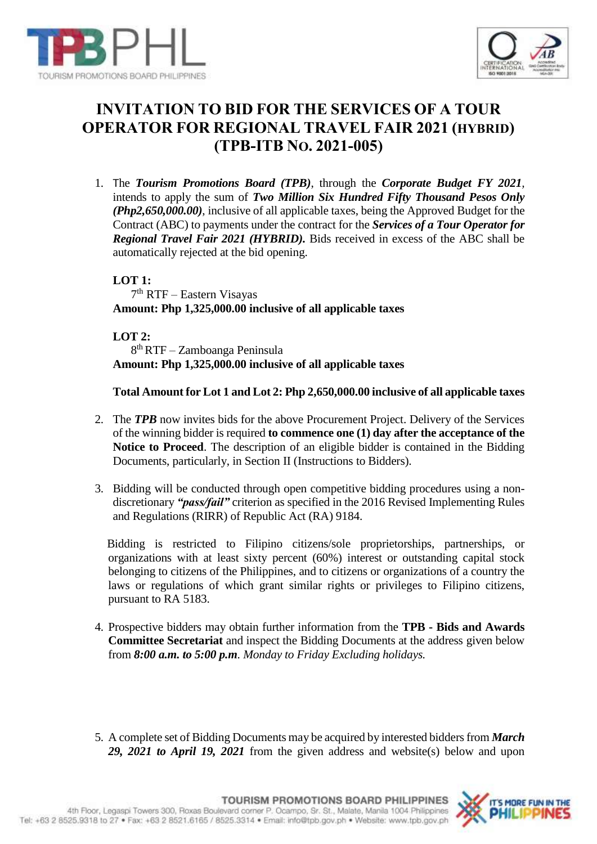



# **INVITATION TO BID FOR THE SERVICES OF A TOUR OPERATOR FOR REGIONAL TRAVEL FAIR 2021 (HYBRID) (TPB-ITB NO. 2021-005)**

1. The *Tourism Promotions Board (TPB)*, through the *Corporate Budget FY 2021,*  intends to apply the sum of *Two Million Six Hundred Fifty Thousand Pesos Only (Php2,650,000.00)*, inclusive of all applicable taxes, being the Approved Budget for the Contract (ABC) to payments under the contract for the *Services of a Tour Operator for Regional Travel Fair 2021 (HYBRID).* Bids received in excess of the ABC shall be automatically rejected at the bid opening.

**LOT 1:** 7 th RTF – Eastern Visayas **Amount: Php 1,325,000.00 inclusive of all applicable taxes**

**LOT 2:** 8 th RTF – Zamboanga Peninsula **Amount: Php 1,325,000.00 inclusive of all applicable taxes**

**Total Amount for Lot 1 and Lot 2: Php 2,650,000.00 inclusive of all applicable taxes**

- 2. The *TPB* now invites bids for the above Procurement Project. Delivery of the Services of the winning bidder is required **to commence one (1) day after the acceptance of the Notice to Proceed**. The description of an eligible bidder is contained in the Bidding Documents, particularly, in Section II (Instructions to Bidders).
- 3. Bidding will be conducted through open competitive bidding procedures using a nondiscretionary *"pass/fail"* criterion as specified in the 2016 Revised Implementing Rules and Regulations (RIRR) of Republic Act (RA) 9184.

 Bidding is restricted to Filipino citizens/sole proprietorships, partnerships, or organizations with at least sixty percent (60%) interest or outstanding capital stock belonging to citizens of the Philippines, and to citizens or organizations of a country the laws or regulations of which grant similar rights or privileges to Filipino citizens, pursuant to RA 5183.

- 4. Prospective bidders may obtain further information from the **TPB - Bids and Awards Committee Secretariat** and inspect the Bidding Documents at the address given below from *8:00 a.m. to 5:00 p.m. Monday to Friday Excluding holidays.*
- 5. A complete set of Bidding Documents may be acquired by interested bidders from *March 29, 2021 to April 19, 2021* from the given address and website(s) below and upon

Tel: +63 2 8525.9318 to 27 . Fax: +63 2 8521.6165 / 8525.3314 . Email: info@tpb.gov.ph . Website: www.tpb.gov.ph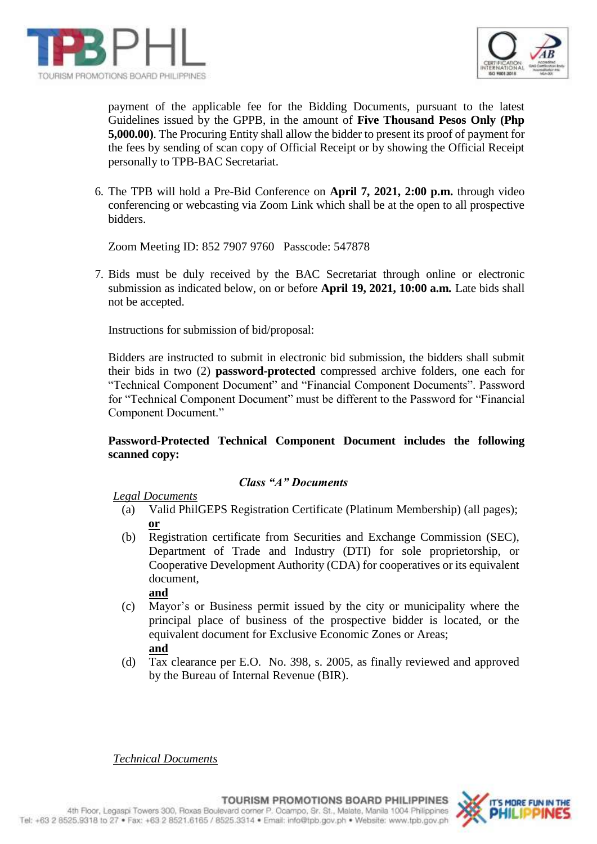



payment of the applicable fee for the Bidding Documents, pursuant to the latest Guidelines issued by the GPPB, in the amount of **Five Thousand Pesos Only (Php 5,000.00)**. The Procuring Entity shall allow the bidder to present its proof of payment for the fees by sending of scan copy of Official Receipt or by showing the Official Receipt personally to TPB-BAC Secretariat.

6. The TPB will hold a Pre-Bid Conference on **April 7, 2021, 2:00 p.m.** through video conferencing or webcasting via Zoom Link which shall be at the open to all prospective bidders.

Zoom Meeting ID: 852 7907 9760 Passcode: 547878

7. Bids must be duly received by the BAC Secretariat through online or electronic submission as indicated below, on or before **April 19, 2021, 10:00 a.m***.* Late bids shall not be accepted.

Instructions for submission of bid/proposal:

Bidders are instructed to submit in electronic bid submission, the bidders shall submit their bids in two (2) **password-protected** compressed archive folders, one each for "Technical Component Document" and "Financial Component Documents". Password for "Technical Component Document" must be different to the Password for "Financial Component Document."

## **Password-Protected Technical Component Document includes the following scanned copy:**

#### *Class "A" Documents*

#### *Legal Documents*

- (a) Valid PhilGEPS Registration Certificate (Platinum Membership) (all pages); **or**
- (b) Registration certificate from Securities and Exchange Commission (SEC), Department of Trade and Industry (DTI) for sole proprietorship, or Cooperative Development Authority (CDA) for cooperatives or its equivalent document,

**and**

- (c) Mayor's or Business permit issued by the city or municipality where the principal place of business of the prospective bidder is located, or the equivalent document for Exclusive Economic Zones or Areas; **and**
- (d) Tax clearance per E.O. No. 398, s. 2005, as finally reviewed and approved by the Bureau of Internal Revenue (BIR).

*Technical Documents*

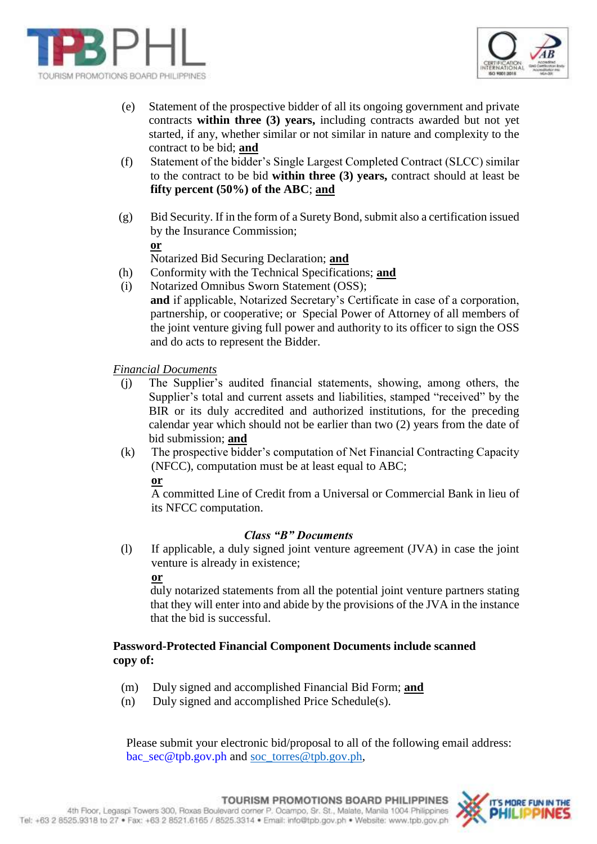



- (e) Statement of the prospective bidder of all its ongoing government and private contracts **within three (3) years,** including contracts awarded but not yet started, if any, whether similar or not similar in nature and complexity to the contract to be bid; **and**
- (f) Statement of the bidder's Single Largest Completed Contract (SLCC) similar to the contract to be bid **within three (3) years,** contract should at least be **fifty percent (50%) of the ABC**; **and**
- (g) Bid Security. If in the form of a Surety Bond, submit also a certification issued by the Insurance Commission; **or**

Notarized Bid Securing Declaration; **and**

- (h) Conformity with the Technical Specifications; **and**
- (i) Notarized Omnibus Sworn Statement (OSS); **and** if applicable, Notarized Secretary's Certificate in case of a corporation, partnership, or cooperative; or Special Power of Attorney of all members of the joint venture giving full power and authority to its officer to sign the OSS and do acts to represent the Bidder.

*Financial Documents*

- (j) The Supplier's audited financial statements, showing, among others, the Supplier's total and current assets and liabilities, stamped "received" by the BIR or its duly accredited and authorized institutions, for the preceding calendar year which should not be earlier than two (2) years from the date of bid submission; **and**
- (k) The prospective bidder's computation of Net Financial Contracting Capacity (NFCC), computation must be at least equal to ABC;

**or**

A committed Line of Credit from a Universal or Commercial Bank in lieu of its NFCC computation.

## *Class "B" Documents*

(l) If applicable, a duly signed joint venture agreement (JVA) in case the joint venture is already in existence;

**or** 

duly notarized statements from all the potential joint venture partners stating that they will enter into and abide by the provisions of the JVA in the instance that the bid is successful.

## **Password-Protected Financial Component Documents include scanned copy of:**

- (m) Duly signed and accomplished Financial Bid Form; **and**
- (n) Duly signed and accomplished Price Schedule(s).

Please submit your electronic bid/proposal to all of the following email address: [bac\\_sec@tpb.gov.ph](mailto:bac_sec@tpb.gov.ph) and [soc\\_torres@tpb.gov.ph,](mailto:soc_torres@tpb.gov.ph)